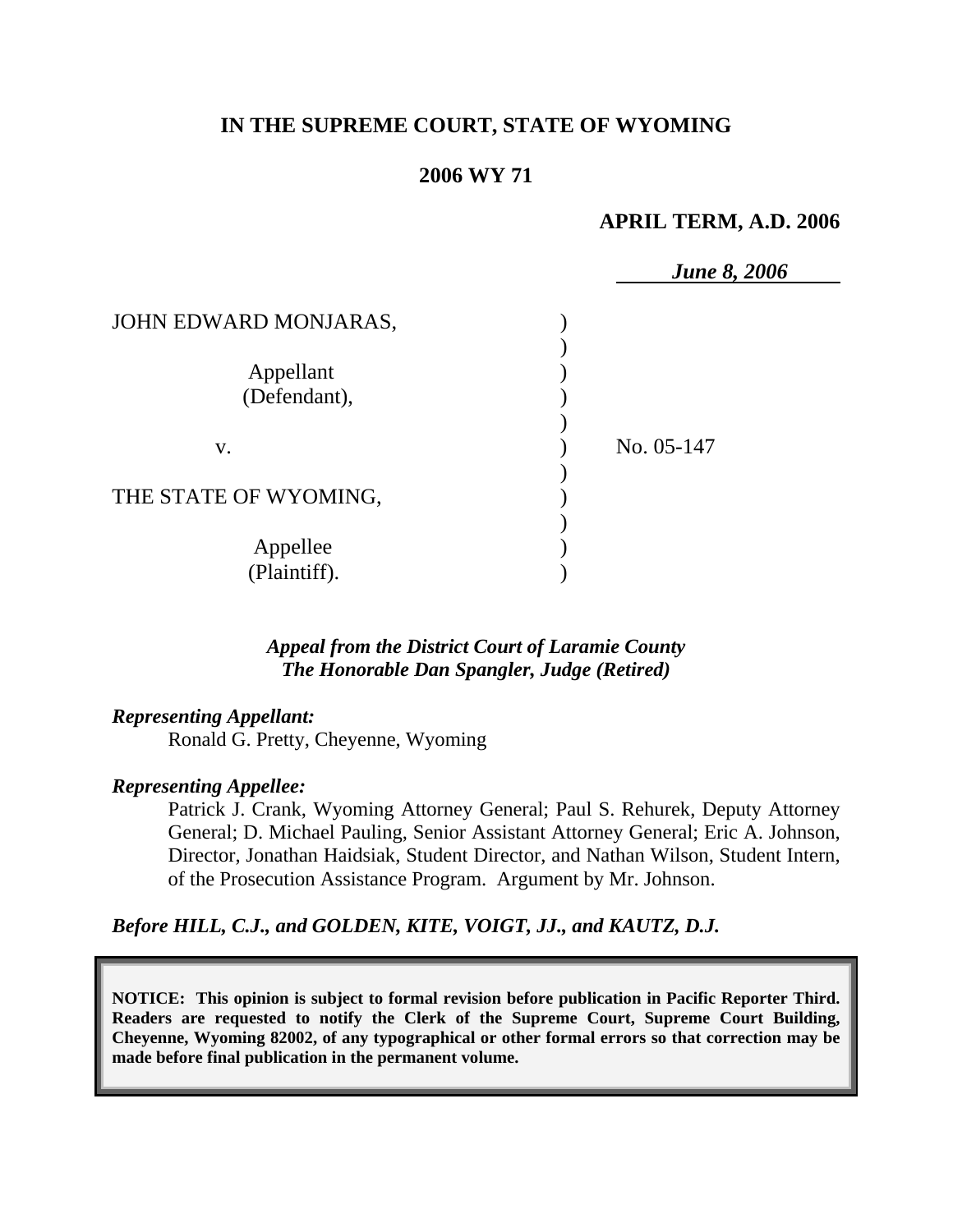# **IN THE SUPREME COURT, STATE OF WYOMING**

### **2006 WY 71**

### **APRIL TERM, A.D. 2006**

|                       | <b>June 8, 2006</b> |
|-----------------------|---------------------|
| JOHN EDWARD MONJARAS, |                     |
|                       |                     |
| Appellant             |                     |
| (Defendant),          |                     |
|                       |                     |
| V.                    | No. 05-147          |
|                       |                     |
| THE STATE OF WYOMING, |                     |
|                       |                     |
| Appellee              |                     |
| (Plaintiff).          |                     |

## *Appeal from the District Court of Laramie County The Honorable Dan Spangler, Judge (Retired)*

#### *Representing Appellant:*

Ronald G. Pretty, Cheyenne, Wyoming

#### *Representing Appellee:*

Patrick J. Crank, Wyoming Attorney General; Paul S. Rehurek, Deputy Attorney General; D. Michael Pauling, Senior Assistant Attorney General; Eric A. Johnson, Director, Jonathan Haidsiak, Student Director, and Nathan Wilson, Student Intern, of the Prosecution Assistance Program. Argument by Mr. Johnson.

### *Before HILL, C.J., and GOLDEN, KITE, VOIGT, JJ., and KAUTZ, D.J.*

**NOTICE: This opinion is subject to formal revision before publication in Pacific Reporter Third. Readers are requested to notify the Clerk of the Supreme Court, Supreme Court Building, Cheyenne, Wyoming 82002, of any typographical or other formal errors so that correction may be made before final publication in the permanent volume.**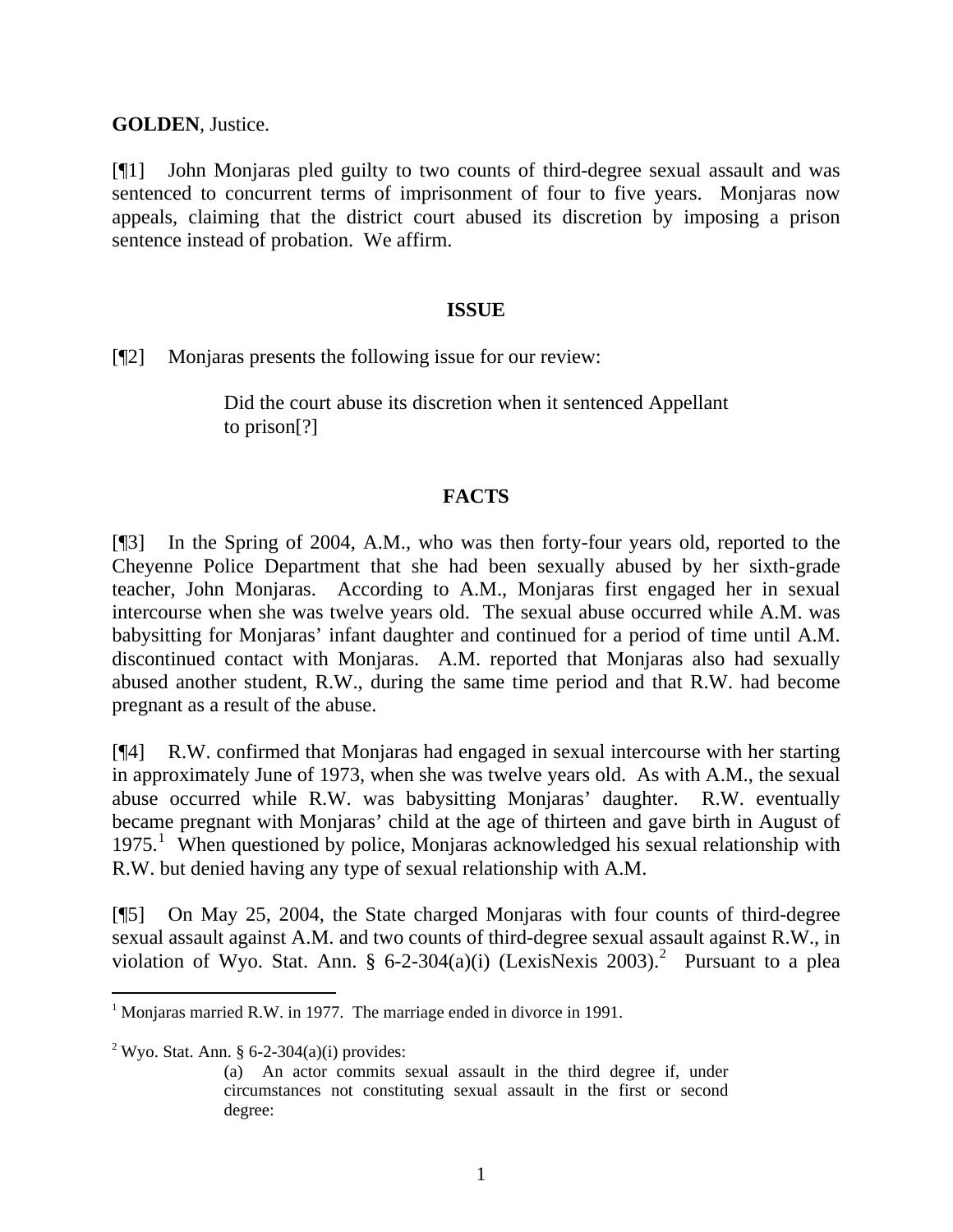**GOLDEN**, Justice.

[¶1] John Monjaras pled guilty to two counts of third-degree sexual assault and was sentenced to concurrent terms of imprisonment of four to five years. Monjaras now appeals, claiming that the district court abused its discretion by imposing a prison sentence instead of probation. We affirm.

#### **ISSUE**

[¶2] Monjaras presents the following issue for our review:

Did the court abuse its discretion when it sentenced Appellant to prison[?]

## **FACTS**

[¶3] In the Spring of 2004, A.M., who was then forty-four years old, reported to the Cheyenne Police Department that she had been sexually abused by her sixth-grade teacher, John Monjaras. According to A.M., Monjaras first engaged her in sexual intercourse when she was twelve years old. The sexual abuse occurred while A.M. was babysitting for Monjaras' infant daughter and continued for a period of time until A.M. discontinued contact with Monjaras. A.M. reported that Monjaras also had sexually abused another student, R.W., during the same time period and that R.W. had become pregnant as a result of the abuse.

[¶4] R.W. confirmed that Monjaras had engaged in sexual intercourse with her starting in approximately June of 1973, when she was twelve years old. As with A.M., the sexual abuse occurred while R.W. was babysitting Monjaras' daughter. R.W. eventually became pregnant with Monjaras' child at the age of thirteen and gave birth in August of [1](#page-1-0)975.<sup>1</sup> When questioned by police, Monjaras acknowledged his sexual relationship with R.W. but denied having any type of sexual relationship with A.M.

[¶5] On May 25, 2004, the State charged Monjaras with four counts of third-degree sexual assault against A.M. and two counts of third-degree sexual assault against R.W., in violation of Wyo. Stat. Ann. § 6-[2](#page-1-1)-304(a)(i) (LexisNexis 2003).<sup>2</sup> Pursuant to a plea

<span id="page-1-1"></span><sup>2</sup> Wyo. Stat. Ann. § 6-2-304(a)(i) provides:

<span id="page-1-0"></span><sup>&</sup>lt;sup>1</sup> Monjaras married R.W. in 1977. The marriage ended in divorce in 1991.

<sup>(</sup>a) An actor commits sexual assault in the third degree if, under circumstances not constituting sexual assault in the first or second degree: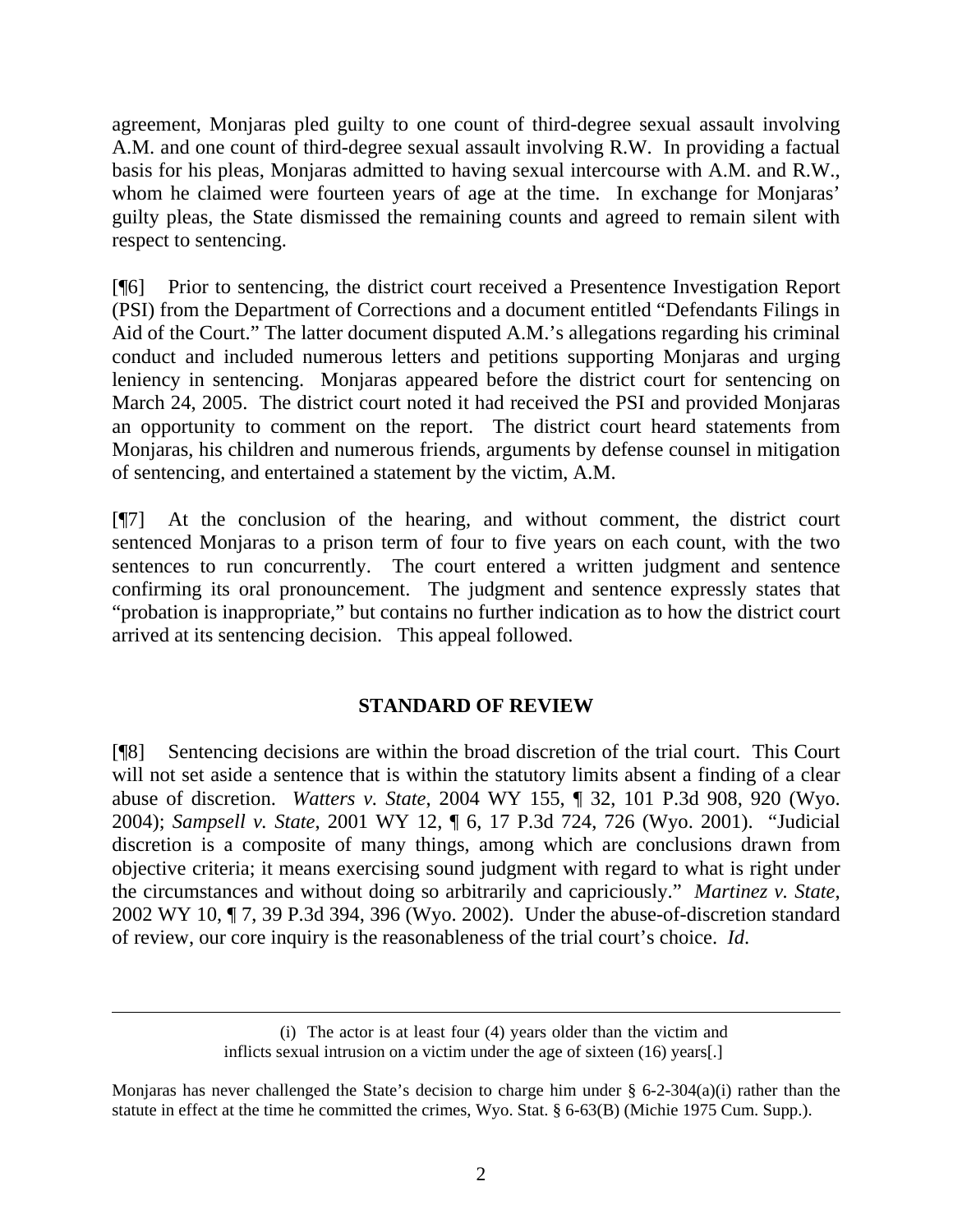agreement, Monjaras pled guilty to one count of third-degree sexual assault involving A.M. and one count of third-degree sexual assault involving R.W. In providing a factual basis for his pleas, Monjaras admitted to having sexual intercourse with A.M. and R.W., whom he claimed were fourteen years of age at the time. In exchange for Monjaras' guilty pleas, the State dismissed the remaining counts and agreed to remain silent with respect to sentencing.

[¶6] Prior to sentencing, the district court received a Presentence Investigation Report (PSI) from the Department of Corrections and a document entitled "Defendants Filings in Aid of the Court." The latter document disputed A.M.'s allegations regarding his criminal conduct and included numerous letters and petitions supporting Monjaras and urging leniency in sentencing. Monjaras appeared before the district court for sentencing on March 24, 2005. The district court noted it had received the PSI and provided Monjaras an opportunity to comment on the report. The district court heard statements from Monjaras, his children and numerous friends, arguments by defense counsel in mitigation of sentencing, and entertained a statement by the victim, A.M.

[¶7] At the conclusion of the hearing, and without comment, the district court sentenced Monjaras to a prison term of four to five years on each count, with the two sentences to run concurrently. The court entered a written judgment and sentence confirming its oral pronouncement. The judgment and sentence expressly states that "probation is inappropriate," but contains no further indication as to how the district court arrived at its sentencing decision. This appeal followed.

# **STANDARD OF REVIEW**

[¶8] Sentencing decisions are within the broad discretion of the trial court. This Court will not set aside a sentence that is within the statutory limits absent a finding of a clear abuse of discretion. *Watters v. State*, 2004 WY 155, ¶ 32, 101 P.3d 908, 920 (Wyo. 2004); *Sampsell v. State*, 2001 WY 12, ¶ 6, 17 P.3d 724, 726 (Wyo. 2001). "Judicial discretion is a composite of many things, among which are conclusions drawn from objective criteria; it means exercising sound judgment with regard to what is right under the circumstances and without doing so arbitrarily and capriciously." *Martinez v. State*, 2002 WY 10, ¶ 7, 39 P.3d 394, 396 (Wyo. 2002). Under the abuse-of-discretion standard of review, our core inquiry is the reasonableness of the trial court's choice. *Id*.

 $\overline{a}$ 

<sup>(</sup>i) The actor is at least four (4) years older than the victim and inflicts sexual intrusion on a victim under the age of sixteen (16) years[.]

Monjaras has never challenged the State's decision to charge him under  $\S$  6-2-304(a)(i) rather than the statute in effect at the time he committed the crimes, Wyo. Stat. § 6-63(B) (Michie 1975 Cum. Supp.).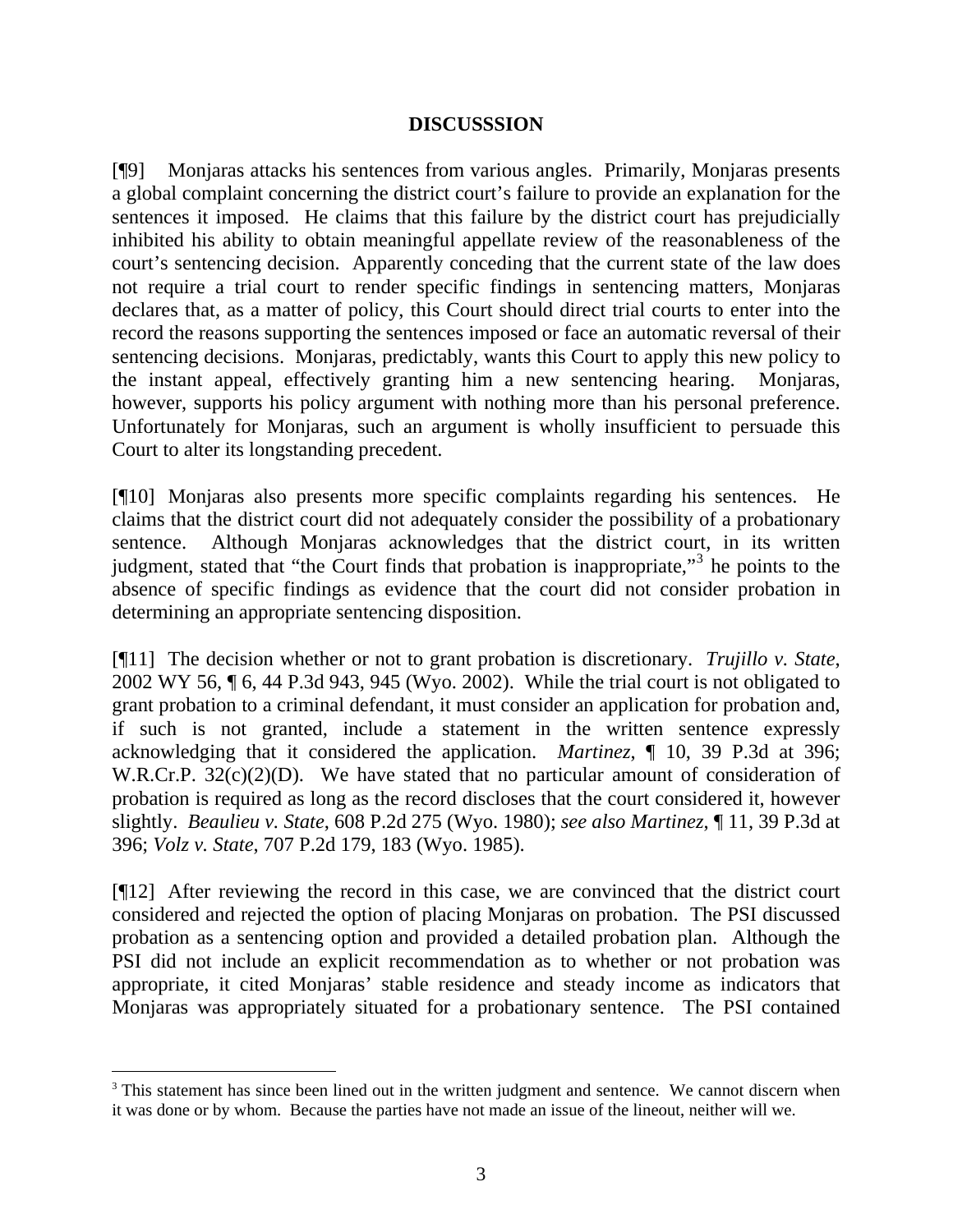### **DISCUSSSION**

[¶9] Monjaras attacks his sentences from various angles. Primarily, Monjaras presents a global complaint concerning the district court's failure to provide an explanation for the sentences it imposed. He claims that this failure by the district court has prejudicially inhibited his ability to obtain meaningful appellate review of the reasonableness of the court's sentencing decision. Apparently conceding that the current state of the law does not require a trial court to render specific findings in sentencing matters, Monjaras declares that, as a matter of policy, this Court should direct trial courts to enter into the record the reasons supporting the sentences imposed or face an automatic reversal of their sentencing decisions. Monjaras, predictably, wants this Court to apply this new policy to the instant appeal, effectively granting him a new sentencing hearing. Monjaras, however, supports his policy argument with nothing more than his personal preference. Unfortunately for Monjaras, such an argument is wholly insufficient to persuade this Court to alter its longstanding precedent.

[¶10] Monjaras also presents more specific complaints regarding his sentences. He claims that the district court did not adequately consider the possibility of a probationary sentence. Although Monjaras acknowledges that the district court, in its written judgment, stated that "the Court finds that probation is inappropriate,"<sup>[3](#page-3-0)</sup> he points to the absence of specific findings as evidence that the court did not consider probation in determining an appropriate sentencing disposition.

[¶11] The decision whether or not to grant probation is discretionary. *Trujillo v. State*, 2002 WY 56, ¶ 6, 44 P.3d 943, 945 (Wyo. 2002). While the trial court is not obligated to grant probation to a criminal defendant, it must consider an application for probation and, if such is not granted, include a statement in the written sentence expressly acknowledging that it considered the application. *Martinez*, ¶ 10, 39 P.3d at 396; W.R.Cr.P. 32(c)(2)(D). We have stated that no particular amount of consideration of probation is required as long as the record discloses that the court considered it, however slightly. *Beaulieu v. State*, 608 P.2d 275 (Wyo. 1980); *see also Martinez*, ¶ 11, 39 P.3d at 396; *Volz v. State*, 707 P.2d 179, 183 (Wyo. 1985).

[¶12] After reviewing the record in this case, we are convinced that the district court considered and rejected the option of placing Monjaras on probation. The PSI discussed probation as a sentencing option and provided a detailed probation plan. Although the PSI did not include an explicit recommendation as to whether or not probation was appropriate, it cited Monjaras' stable residence and steady income as indicators that Monjaras was appropriately situated for a probationary sentence. The PSI contained

<span id="page-3-0"></span><sup>&</sup>lt;sup>3</sup> This statement has since been lined out in the written judgment and sentence. We cannot discern when it was done or by whom. Because the parties have not made an issue of the lineout, neither will we.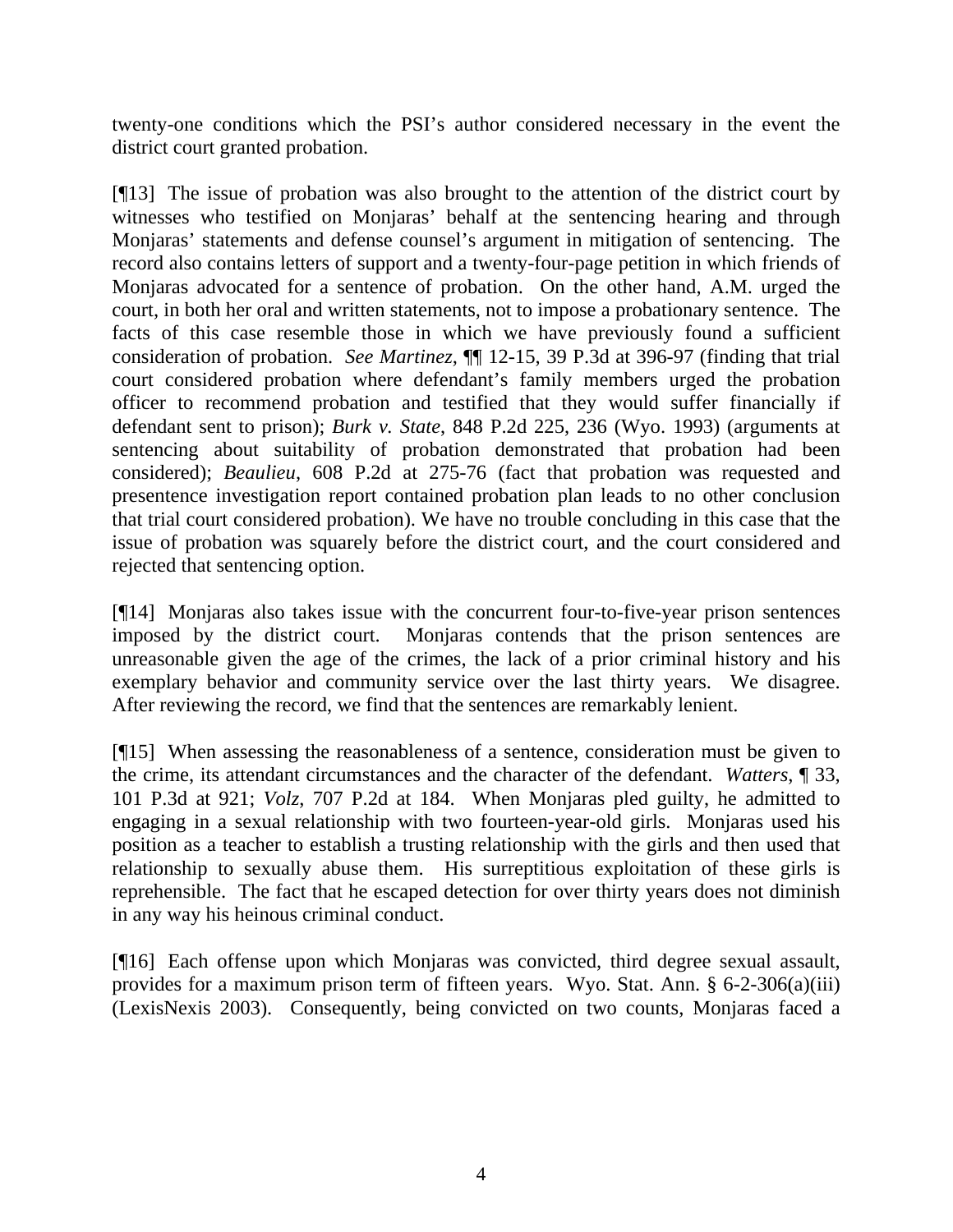twenty-one conditions which the PSI's author considered necessary in the event the district court granted probation.

[¶13] The issue of probation was also brought to the attention of the district court by witnesses who testified on Monjaras' behalf at the sentencing hearing and through Monjaras' statements and defense counsel's argument in mitigation of sentencing. The record also contains letters of support and a twenty-four-page petition in which friends of Monjaras advocated for a sentence of probation. On the other hand, A.M. urged the court, in both her oral and written statements, not to impose a probationary sentence. The facts of this case resemble those in which we have previously found a sufficient consideration of probation. *See Martinez*, ¶¶ 12-15, 39 P.3d at 396-97 (finding that trial court considered probation where defendant's family members urged the probation officer to recommend probation and testified that they would suffer financially if defendant sent to prison); *Burk v. State*, 848 P.2d 225, 236 (Wyo. 1993) (arguments at sentencing about suitability of probation demonstrated that probation had been considered); *Beaulieu*, 608 P.2d at 275-76 (fact that probation was requested and presentence investigation report contained probation plan leads to no other conclusion that trial court considered probation). We have no trouble concluding in this case that the issue of probation was squarely before the district court, and the court considered and rejected that sentencing option.

[¶14] Monjaras also takes issue with the concurrent four-to-five-year prison sentences imposed by the district court. Monjaras contends that the prison sentences are unreasonable given the age of the crimes, the lack of a prior criminal history and his exemplary behavior and community service over the last thirty years. We disagree. After reviewing the record, we find that the sentences are remarkably lenient.

[¶15] When assessing the reasonableness of a sentence, consideration must be given to the crime, its attendant circumstances and the character of the defendant. *Watters*, ¶ 33, 101 P.3d at 921; *Volz*, 707 P.2d at 184. When Monjaras pled guilty, he admitted to engaging in a sexual relationship with two fourteen-year-old girls. Monjaras used his position as a teacher to establish a trusting relationship with the girls and then used that relationship to sexually abuse them. His surreptitious exploitation of these girls is reprehensible. The fact that he escaped detection for over thirty years does not diminish in any way his heinous criminal conduct.

[¶16] Each offense upon which Monjaras was convicted, third degree sexual assault, provides for a maximum prison term of fifteen years. Wyo. Stat. Ann. § 6-2-306(a)(iii) (LexisNexis 2003). Consequently, being convicted on two counts, Monjaras faced a